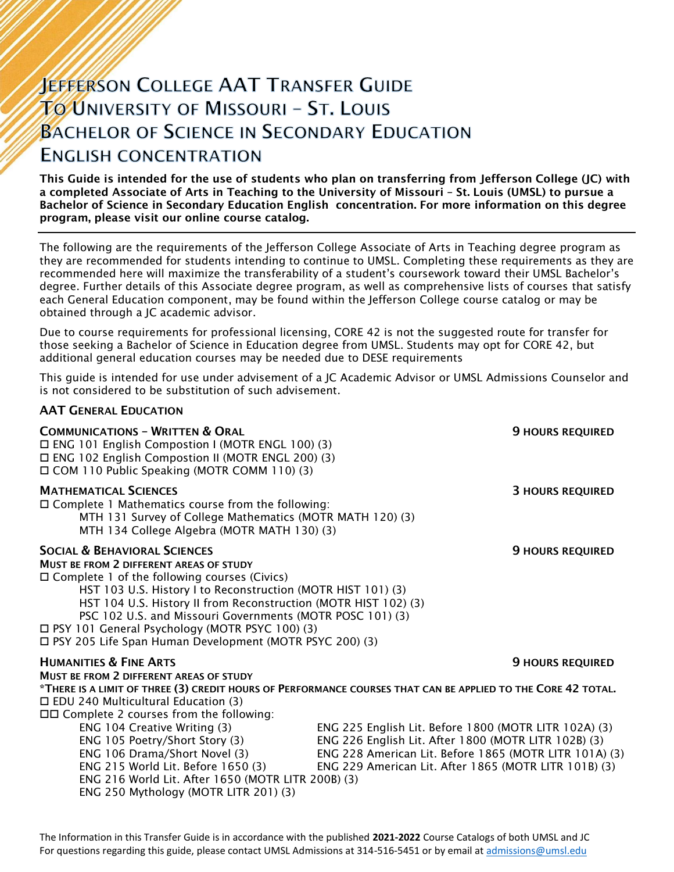# **JEFFERSON COLLEGE AAT TRANSFER GUIDE TO UNIVERSITY OF MISSOURI - ST. LOUIS BACHELOR OF SCIENCE IN SECONDARY EDUCATION ENGLISH CONCENTRATION**

This Guide is intended for the use of students who plan on transferring from Jefferson College (JC) with a completed Associate of Arts in Teaching to the University of Missouri – St. Louis (UMSL) to pursue a Bachelor of Science in Secondary Education English concentration. For more information on this degree program, please visit our online course catalog.

The following are the requirements of the Jefferson College Associate of Arts in Teaching degree program as they are recommended for students intending to continue to UMSL. Completing these requirements as they are recommended here will maximize the transferability of a student's coursework toward their UMSL Bachelor's degree. Further details of this Associate degree program, as well as comprehensive lists of courses that satisfy each General Education component, may be found within the Jefferson College course catalog or may be obtained through a JC academic advisor.

Due to course requirements for professional licensing, CORE 42 is not the suggested route for transfer for those seeking a Bachelor of Science in Education degree from UMSL. Students may opt for CORE 42, but additional general education courses may be needed due to DESE requirements

This guide is intended for use under advisement of a JC Academic Advisor or UMSL Admissions Counselor and is not considered to be substitution of such advisement.

# AAT GENERAL EDUCATION

| <b>COMMUNICATIONS - WRITTEN &amp; ORAL</b><br>□ ENG 101 English Compostion I (MOTR ENGL 100) (3)<br>□ ENG 102 English Compostion II (MOTR ENGL 200) (3)<br>□ COM 110 Public Speaking (MOTR COMM 110) (3)                                                                                                                                                                                                                                                          | <b>9 HOURS REQUIRED</b>                                                                                                                                                                                                          |
|-------------------------------------------------------------------------------------------------------------------------------------------------------------------------------------------------------------------------------------------------------------------------------------------------------------------------------------------------------------------------------------------------------------------------------------------------------------------|----------------------------------------------------------------------------------------------------------------------------------------------------------------------------------------------------------------------------------|
| <b>MATHEMATICAL SCIENCES</b><br>$\Box$ Complete 1 Mathematics course from the following:<br>MTH 131 Survey of College Mathematics (MOTR MATH 120) (3)<br>MTH 134 College Algebra (MOTR MATH 130) (3)                                                                                                                                                                                                                                                              | <b>3 HOURS REQUIRED</b>                                                                                                                                                                                                          |
| <b>SOCIAL &amp; BEHAVIORAL SCIENCES</b><br><b>MUST BE FROM 2 DIFFERENT AREAS OF STUDY</b><br>$\Box$ Complete 1 of the following courses (Civics)<br>HST 103 U.S. History I to Reconstruction (MOTR HIST 101) (3)<br>HST 104 U.S. History II from Reconstruction (MOTR HIST 102) (3)<br>PSC 102 U.S. and Missouri Governments (MOTR POSC 101) (3)<br>□ PSY 101 General Psychology (MOTR PSYC 100) (3)<br>□ PSY 205 Life Span Human Development (MOTR PSYC 200) (3) | <b>9 HOURS REQUIRED</b>                                                                                                                                                                                                          |
| <b>HUMANITIES &amp; FINE ARTS</b><br>MUST BE FROM 2 DIFFERENT AREAS OF STUDY<br>$\Box$ EDU 240 Multicultural Education (3)<br>$\Box$ Complete 2 courses from the following:                                                                                                                                                                                                                                                                                       | <b>9 HOURS REQUIRED</b><br>*THERE IS A LIMIT OF THREE (3) CREDIT HOURS OF PERFORMANCE COURSES THAT CAN BE APPLIED TO THE CORE 42 TOTAL.                                                                                          |
| ENG 104 Creative Writing (3)<br>ENG 105 Poetry/Short Story (3)<br>ENG 106 Drama/Short Novel (3)<br>ENG 215 World Lit. Before 1650 (3)<br>ENG 216 World Lit. After 1650 (MOTR LITR 200B) (3)<br>ENG 250 Mythology (MOTR LITR 201) (3)                                                                                                                                                                                                                              | ENG 225 English Lit. Before 1800 (MOTR LITR 102A) (3)<br>ENG 226 English Lit. After 1800 (MOTR LITR 102B) (3)<br>ENG 228 American Lit. Before 1865 (MOTR LITR 101A) (3)<br>ENG 229 American Lit. After 1865 (MOTR LITR 101B) (3) |